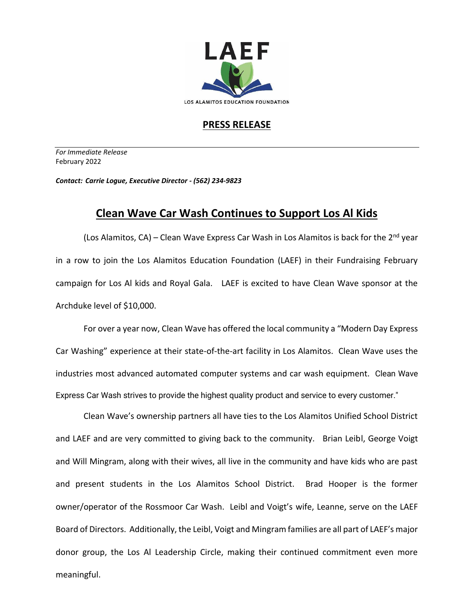

## **PRESS RELEASE**

*For Immediate Release*  February 2022

*Contact: Carrie Logue, Executive Director - (562) 234-9823*

## **Clean Wave Car Wash Continues to Support Los Al Kids**

(Los Alamitos, CA) – Clean Wave Express Car Wash in Los Alamitos is back for the  $2^{nd}$  year in a row to join the Los Alamitos Education Foundation (LAEF) in their Fundraising February campaign for Los Al kids and Royal Gala. LAEF is excited to have Clean Wave sponsor at the Archduke level of \$10,000.

For over a year now, Clean Wave has offered the local community a "Modern Day Express Car Washing" experience at their state-of-the-art facility in Los Alamitos. Clean Wave uses the industries most advanced automated computer systems and car wash equipment. Clean Wave Express Car Wash strives to provide the highest quality product and service to every customer."

Clean Wave's ownership partners all have ties to the Los Alamitos Unified School District and LAEF and are very committed to giving back to the community. Brian Leibl, George Voigt and Will Mingram, along with their wives, all live in the community and have kids who are past and present students in the Los Alamitos School District. Brad Hooper is the former owner/operator of the Rossmoor Car Wash. Leibl and Voigt's wife, Leanne, serve on the LAEF Board of Directors. Additionally, the Leibl, Voigt and Mingram families are all part of LAEF's major donor group, the Los Al Leadership Circle, making their continued commitment even more meaningful.